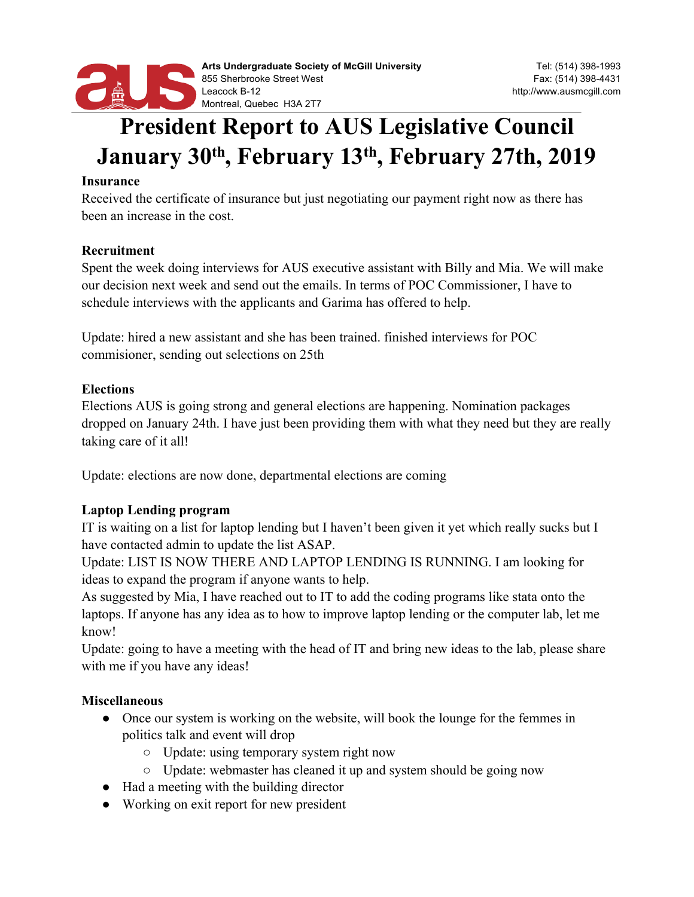

# **President Report to AUS Legislative Council January 30th, February 13th, February 27th, 2019**

#### **Insurance**

Received the certificate of insurance but just negotiating our payment right now as there has been an increase in the cost.

#### **Recruitment**

Spent the week doing interviews for AUS executive assistant with Billy and Mia. We will make our decision next week and send out the emails. In terms of POC Commissioner, I have to schedule interviews with the applicants and Garima has offered to help.

Update: hired a new assistant and she has been trained. finished interviews for POC commisioner, sending out selections on 25th

## **Elections**

Elections AUS is going strong and general elections are happening. Nomination packages dropped on January 24th. I have just been providing them with what they need but they are really taking care of it all!

Update: elections are now done, departmental elections are coming

## **Laptop Lending program**

IT is waiting on a list for laptop lending but I haven't been given it yet which really sucks but I have contacted admin to update the list ASAP.

Update: LIST IS NOW THERE AND LAPTOP LENDING IS RUNNING. I am looking for ideas to expand the program if anyone wants to help.

As suggested by Mia, I have reached out to IT to add the coding programs like stata onto the laptops. If anyone has any idea as to how to improve laptop lending or the computer lab, let me know!

Update: going to have a meeting with the head of IT and bring new ideas to the lab, please share with me if you have any ideas!

## **Miscellaneous**

- Once our system is working on the website, will book the lounge for the femmes in politics talk and event will drop
	- Update: using temporary system right now
	- Update: webmaster has cleaned it up and system should be going now
- Had a meeting with the building director
- Working on exit report for new president